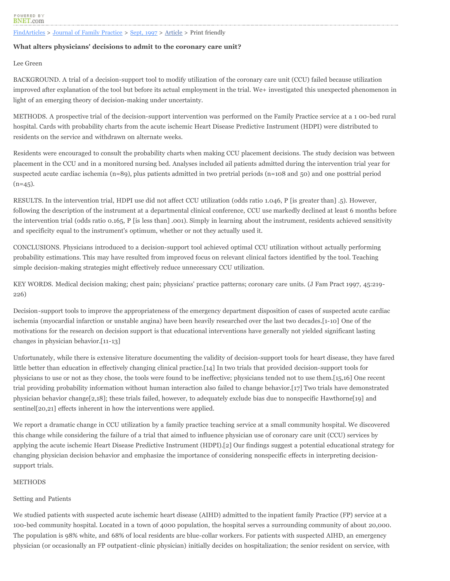## [FindArticles](http://findarticles.com/) > [Journal of Family Practice](http://findarticles.com/p/articles/mi_m0689) > [Sept, 1997](http://findarticles.com/p/articles/mi_m0689/is_n3_v45) > [Article](http://findarticles.com/p/articles/mi_m0689/is_n3_v45/ai_19891677) > Print friendly

# **What alters physicians' decisions to admit to the coronary care unit?**

Lee Green

BACKGROUND. A trial of a decision-support tool to modify utilization of the coronary care unit (CCU) failed because utilization improved after explanation of the tool but before its actual employment in the trial. We+ investigated this unexpected phenomenon in light of an emerging theory of decision-making under uncertainty.

METHODS. A prospective trial of the decision-support intervention was performed on the Family Practice service at a 1 00-bed rural hospital. Cards with probability charts from the acute ischemic Heart Disease Predictive Instrument (HDPI) were distributed to residents on the service and withdrawn on alternate weeks.

Residents were encouraged to consult the probability charts when making CCU placement decisions. The study decision was between placement in the CCU and in a monitored nursing bed. Analyses included ail patients admitted during the intervention trial year for suspected acute cardiac ischemia (n=89), plus patients admitted in two pretrial periods (n=108 and 50) and one posttrial period  $(n=45)$ .

RESULTS. In the intervention trial, HDPI use did not affect CCU utilization (odds ratio 1.046, P [is greater than] .5). However, following the description of the instrument at a departmental clinical conference, CCU use markedly declined at least 6 months before the intervention trial (odds ratio 0.165, P [is less than] .001). Simply in learning about the instrument, residents achieved sensitivity and specificity equal to the instrument's optimum, whether or not they actually used it.

CONCLUSIONS. Physicians introduced to a decision-support tool achieved optimal CCU utilization without actually performing probability estimations. This may have resulted from improved focus on relevant clinical factors identified by the tool. Teaching simple decision-making strategies might effectively reduce unnecessary CCU utilization.

KEY WORDS. Medical decision making; chest pain; physicians' practice patterns; coronary care units. (J Fam Pract 1997, 45:219- 226)

Decision-support tools to improve the appropriateness of the emergency department disposition of cases of suspected acute cardiac ischemia (myocardial infarction or unstable angina) have been heavily researched over the last two decades.[1-10] One of the motivations for the research on decision support is that educational interventions have generally not yielded significant lasting changes in physician behavior.[11-13]

Unfortunately, while there is extensive literature documenting the validity of decision-support tools for heart disease, they have fared little better than education in effectively changing clinical practice.[14] In two trials that provided decision-support tools for physicians to use or not as they chose, the tools were found to be ineffective; physicians tended not to use them.[15,16] One recent trial providing probability information without human interaction also failed to change behavior.[17] Two trials have demonstrated physician behavior change[2,18]; these trials failed, however, to adequately exclude bias due to nonspecific Hawthorne[19] and sentinel[20,21] effects inherent in how the interventions were applied.

We report a dramatic change in CCU utilization by a family practice teaching service at a small community hospital. We discovered this change while considering the failure of a trial that aimed to influence physician use of coronary care unit (CCU) services by applying the acute ischemic Heart Disease Predictive Instrument (HDPI).[2] Our findings suggest a potential educational strategy for changing physician decision behavior and emphasize the importance of considering nonspecific effects in interpreting decisionsupport trials.

# METHODS

# Setting and Patients

We studied patients with suspected acute ischemic heart disease (AIHD) admitted to the inpatient family Practice (FP) service at a 100-bed community hospital. Located in a town of 4000 population, the hospital serves a surrounding community of about 20,000. The population is 98% white, and 68% of local residents are blue-collar workers. For patients with suspected AIHD, an emergency physician (or occasionally an FP outpatient-clinic physician) initially decides on hospitalization; the senior resident on service, with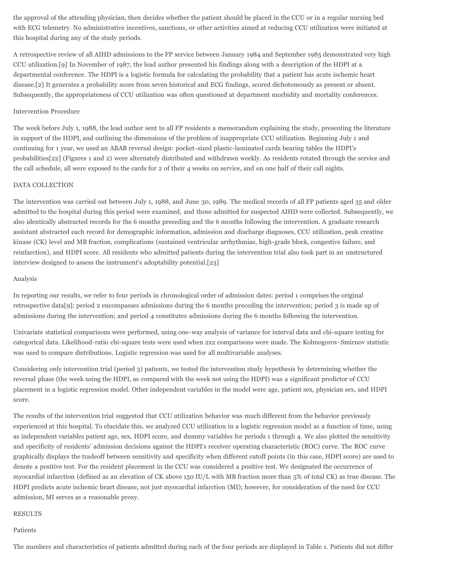the approval of the attending physician, then decides whether the patient should be placed in the CCU or in a regular nursing bed with ECG telemetry. No administrative incentives, sanctions, or other activities aimed at reducing CCU utilization were initiated at this hospital during any of the study periods.

A retrospective review of all AIHD admissions to the FP service between January 1984 and September 1985 demonstrated very high CCU utilization.[9] In November of 1987, the lead author presented his findings along with a description of the HDPI at a departmental conference. The HDPI is a logistic formula for calculating the probability that a patient has acute ischemic heart disease.[2] It generates a probability score from seven historical and ECG findings, scored dichotomously as present or absent. Subsequently, the appropriateness of CCU utilization was often questioned at department morbidity and mortality conferences.

## Intervention Procedure

The week before July 1, 1988, the lead author sent to all FP residents a memorandum explaining the study, presenting the literature in support of the HDPI, and outlining the dimensions of the problem of inappropriate CCU utilization. Beginning July 1 and continuing for 1 year, we used an ABAB reversal design: pocket-sized plastic-laminated cards bearing tables the HDPI's probabilities[22] (Figures 1 and 2) were alternately distributed and withdrawn weekly. As residents rotated through the service and the call schedule, all were exposed to the cards for 2 of their 4 weeks on service, and on one half of their call nights.

#### DATA COLLECTION

The intervention was carried out between July 1, 1988, and June 30, 1989. The medical records of all FP patients aged 35 and older admitted to the hospital during this period were examined, and those admitted for suspected AIHD were collected. Subsequently, we also identically abstracted records for the 6 months preceding and the 6 months following the intervention. A graduate research assistant abstracted each record for demographic information, admission and discharge diagnoses, CCU utilization, peak creatine kinase (CK) level and MB fraction, complications (sustained ventricular arrhythmias, high-grade block, congestive failure, and reinfarction), and HDPI score. All residents who admitted patients during the intervention trial also took part in an unstructured interview designed to assess the instrument's adoptability potential.[23]

## Analysis

In reporting our results, we refer to four periods in chronological order of admission dates: period 1 comprises the original retrospective data[9]; period 2 encompasses admissions during the 6 months preceding the intervention; period 3 is made up of admissions during the intervention; and period 4 constitutes admissions during the 6 months following the intervention.

Univariate statistical comparisons were performed, using one-way analysis of variance for interval data and chi-square testing for categorical data. Likelihood-ratio chi-square tests were used when 2x2 comparisons were made. The Kolmogorov-Smirnov statistic was used to compare distributions. Logistic regression was used for all multivariable analyses.

Considering only intervention trial (period 3) patients, we tested the intervention study hypothesis by determining whether the reversal phase (the week using the HDPI, as compared with the week not using the HDPI) was a significant predictor of CCU placement in a logistic regression model. Other independent variables in the model were age, patient sex, physician sex, and HDPI score.

The results of the intervention trial suggested that CCU utilization behavior was much different from the behavior previously experienced at this hospital. To elucidate this, we analyzed CCU utilization in a logistic regression model as a function of time, using as independent variables patient age, sex, HDPI score, and dummy variables for periods 1 through 4. We also plotted the sensitivity and specificity of residents' admission decisions against the HDPI's receiver operating characteristic (ROC) curve. The ROC curve graphically displays the tradeoff between sensitivity and specificity when different cutoff points (in this case, HDPI score) are used to denote a positive test. For the resident placement in the CCU was considered a positive test. We designated the occurrence of myocardial infarction (defined as an elevation of CK above 150 IU/L with MB fraction more than 5% of total CK) as true disease. The HDPI predicts acute ischemic heart disease, not just myocardial infarction (MI); however, for consideration of the need for CCU admission, MI serves as a reasonable proxy.

# RESULTS

## Patients

The numbers and characteristics of patients admitted during each of the four periods are displayed in Table 1. Patients did not differ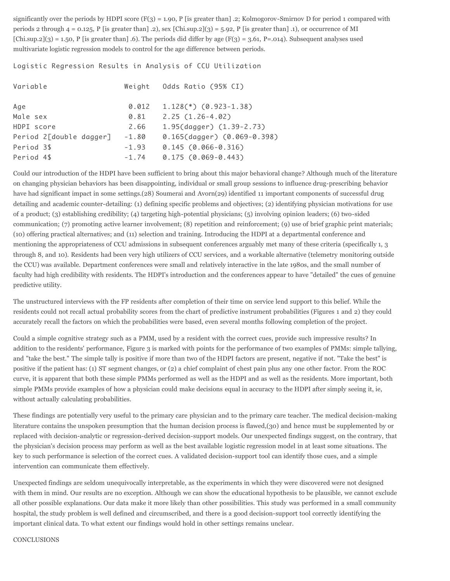significantly over the periods by HDPI score  $(F(3) = 1.90, P$  [is greater than] .2; Kolmogorov-Smirnov D for period 1 compared with periods 2 through  $4 = 0.125$ , P [is greater than] .2), sex [Chi.sup.2](3) = 5.92, P [is greater than] .1), or occurrence of MI  $[Chi,sup.2](3) = 1.50$ , P [is greater than] .6). The periods did differ by age  $(F(3) = 3.61, P = .014)$ . Subsequent analyses used multivariate logistic regression models to control for the age difference between periods.

Logistic Regression Results in Analysis of CCU Utilization

| Variable                | Weight  | Odds Ratio (95% CI)         |
|-------------------------|---------|-----------------------------|
| Age                     | 0.012   | $1.128(*)$ $(0.923-1.38)$   |
| Male sex                | 0.81    | $2.25(1.26-4.02)$           |
| HDPI score              | 2.66    | 1.95(dagger) (1.39-2.73)    |
| Period 2[double dagger] | $-1.80$ | 0.165(dagger) (0.069-0.398) |
| Period 3\$              | $-1.93$ | $0.145 (0.066 - 0.316)$     |
| Period 4\$              | $-1.74$ | $0.175 (0.069 - 0.443)$     |

Could our introduction of the HDPI have been sufficient to bring about this major behavioral change? Although much of the literature on changing physician behaviors has been disappointing, individual or small group sessions to influence drug-prescribing behavior have had significant impact in some settings.(28) Soumerai and Avorn(29) identified 11 important components of successful drug detailing and academic counter-detailing: (1) defining specific problems and objectives; (2) identifying physician motivations for use of a product; (3) establishing credibility; (4) targeting high-potential physicians; (5) involving opinion leaders; (6) two-sided communication; (7) promoting active learner involvement; (8) repetition and reinforcement; (9) use of brief graphic print materials; (10) offering practical alternatives; and (11) selection and training. Introducing the HDPI at a departmental conference and mentioning the appropriateness of CCU admissions in subsequent conferences arguably met many of these criteria (specifically 1, 3 through 8, and 10). Residents had been very high utilizers of CCU services, and a workable alternative (telemetry monitoring outside the CCU) was available. Department conferences were small and relatively interactive in the late 1980s, and the small number of faculty had high credibility with residents. The HDPI's introduction and the conferences appear to have "detailed" the cues of genuine predictive utility.

The unstructured interviews with the FP residents after completion of their time on service lend support to this belief. While the residents could not recall actual probability scores from the chart of predictive instrument probabilities (Figures 1 and 2) they could accurately recall the factors on which the probabilities were based, even several months following completion of the project.

Could a simple cognitive strategy such as a PMM, used by a resident with the correct cues, provide such impressive results? In addition to the residents' performance, Figure 3 is marked with points for the performance of two examples of PMMs: simple tallying, and "take the best." The simple tally is positive if more than two of the HDPI factors are present, negative if not. "Take the best" is positive if the patient has: (1) ST segment changes, or (2) a chief complaint of chest pain plus any one other factor. From the ROC curve, it is apparent that both these simple PMMs performed as well as the HDPI and as well as the residents. More important, both simple PMMs provide examples of how a physician could make decisions equal in accuracy to the HDPI after simply seeing it, ie, without actually calculating probabilities.

These findings are potentially very useful to the primary care physician and to the primary care teacher. The medical decision-making literature contains the unspoken presumption that the human decision process is flawed,(30) and hence must be supplemented by or replaced with decision-analytic or regression-derived decision-support models. Our unexpected findings suggest, on the contrary, that the physician's decision process may perform as well as the best available logistic regression model in at least some situations. The key to such performance is selection of the correct cues. A validated decision-support tool can identify those cues, and a simple intervention can communicate them effectively.

Unexpected findings are seldom unequivocally interpretable, as the experiments in which they were discovered were not designed with them in mind. Our results are no exception. Although we can show the educational hypothesis to be plausible, we cannot exclude all other possible explanations. Our data make it more likely than other possibilities. This study was performed in a small community hospital, the study problem is well defined and circumscribed, and there is a good decision-support tool correctly identifying the important clinical data. To what extent our findings would hold in other settings remains unclear.

#### CONCLUSIONS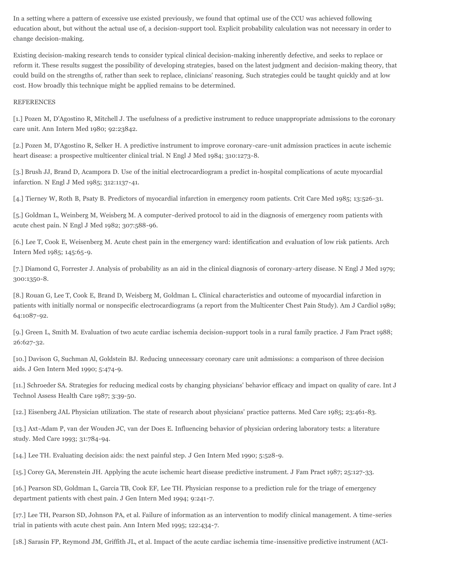In a setting where a pattern of excessive use existed previously, we found that optimal use of the CCU was achieved following education about, but without the actual use of, a decision-support tool. Explicit probability calculation was not necessary in order to change decision-making.

Existing decision-making research tends to consider typical clinical decision-making inherently defective, and seeks to replace or reform it. These results suggest the possibility of developing strategies, based on the latest judgment and decision-making theory, that could build on the strengths of, rather than seek to replace, clinicians' reasoning. Such strategies could be taught quickly and at low cost. How broadly this technique might be applied remains to be determined.

## REFERENCES

[1.] Pozen M, D'Agostino R, Mitchell J. The usefulness of a predictive instrument to reduce unappropriate admissions to the coronary care unit. Ann Intern Med 1980; 92:23842.

[2.] Pozen M, D'Agostino R, Selker H. A predictive instrument to improve coronary-care-unit admission practices in acute ischemic heart disease: a prospective multicenter clinical trial. N Engl J Med 1984; 310:1273-8.

[3.] Brush JJ, Brand D, Acampora D. Use of the initial electrocardiogram a predict in-hospital complications of acute myocardial infarction. N Engl J Med 1985; 312:1137-41.

[4.] Tierney W, Roth B, Psaty B. Predictors of myocardial infarction in emergency room patients. Crit Care Med 1985; 13:526-31.

[5.] Goldman L, Weinberg M, Weisberg M. A computer-derived protocol to aid in the diagnosis of emergency room patients with acute chest pain. N Engl J Med 1982; 307:588-96.

[6.] Lee T, Cook E, Weisenberg M. Acute chest pain in the emergency ward: identification and evaluation of low risk patients. Arch Intern Med 1985; 145:65-9.

[7.] Diamond G, Forrester J. Analysis of probability as an aid in the clinical diagnosis of coronary-artery disease. N Engl J Med 1979; 300:1350-8.

[8.] Rouan G, Lee T, Cook E, Brand D, Weisberg M, Goldman L. Clinical characteristics and outcome of myocardial infarction in patients with initially normal or nonspecific electrocardiograms (a report from the Multicenter Chest Pain Study). Am J Cardiol 1989; 64:1087-92.

[9.] Green L, Smith M. Evaluation of two acute cardiac ischemia decision-support tools in a rural family practice. J Fam Pract 1988; 26:627-32.

[10.] Davison G, Suchman Al, Goldstein BJ. Reducing unnecessary coronary care unit admissions: a comparison of three decision aids. J Gen Intern Med 1990; 5:474-9.

[11.] Schroeder SA. Strategies for reducing medical costs by changing physicians' behavior efficacy and impact on quality of care. Int J Technol Assess Health Care 1987; 3:39-50.

[12.] Eisenberg JAL Physician utilization. The state of research about physicians' practice patterns. Med Care 1985; 23:461-83.

[13.] Axt-Adam P, van der Wouden JC, van der Does E. Influencing behavior of physician ordering laboratory tests: a literature study. Med Care 1993; 31:784-94.

[14.] Lee TH. Evaluating decision aids: the next painful step. J Gen Intern Med 1990; 5:528-9.

[15.] Corey GA, Merenstein JH. Applying the acute ischemic heart disease predictive instrument. J Fam Pract 1987; 25:127-33.

[16.] Pearson SD, Goldman L, Garcia TB, Cook EF, Lee TH. Physician response to a prediction rule for the triage of emergency department patients with chest pain. J Gen Intern Med 1994; 9:241-7.

[17.] Lee TH, Pearson SD, Johnson PA, et al. Failure of information as an intervention to modify clinical management. A time-series trial in patients with acute chest pain. Ann Intern Med 1995; 122:434-7.

[18.] Sarasin FP, Reymond JM, Griffith JL, et al. Impact of the acute cardiac ischemia time-insensitive predictive instrument (ACI-